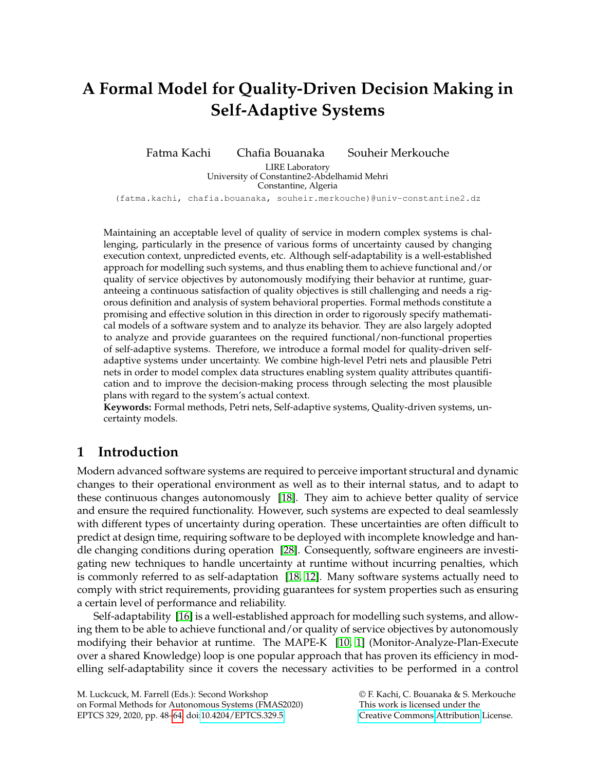# <span id="page-0-0"></span>**A Formal Model for Quality-Driven Decision Making in Self-Adaptive Systems**

Fatma Kachi Chafia Bouanaka Souheir Merkouche

LIRE Laboratory University of Constantine2-Abdelhamid Mehri Constantine, Algeria

(fatma.kachi, chafia.bouanaka, souheir.merkouche)@univ-constantine2.dz

Maintaining an acceptable level of quality of service in modern complex systems is challenging, particularly in the presence of various forms of uncertainty caused by changing execution context, unpredicted events, etc. Although self-adaptability is a well-established approach for modelling such systems, and thus enabling them to achieve functional and/or quality of service objectives by autonomously modifying their behavior at runtime, guaranteeing a continuous satisfaction of quality objectives is still challenging and needs a rigorous definition and analysis of system behavioral properties. Formal methods constitute a promising and effective solution in this direction in order to rigorously specify mathematical models of a software system and to analyze its behavior. They are also largely adopted to analyze and provide guarantees on the required functional/non-functional properties of self-adaptive systems. Therefore, we introduce a formal model for quality-driven selfadaptive systems under uncertainty. We combine high-level Petri nets and plausible Petri nets in order to model complex data structures enabling system quality attributes quantification and to improve the decision-making process through selecting the most plausible plans with regard to the system's actual context.

**Keywords:** Formal methods, Petri nets, Self-adaptive systems, Quality-driven systems, uncertainty models.

## **1 Introduction**

Modern advanced software systems are required to perceive important structural and dynamic changes to their operational environment as well as to their internal status, and to adapt to these continuous changes autonomously [\[18\]](#page-16-1). They aim to achieve better quality of service and ensure the required functionality. However, such systems are expected to deal seamlessly with different types of uncertainty during operation. These uncertainties are often difficult to predict at design time, requiring software to be deployed with incomplete knowledge and handle changing conditions during operation [\[28\]](#page-16-2). Consequently, software engineers are investigating new techniques to handle uncertainty at runtime without incurring penalties, which is commonly referred to as self-adaptation [\[18,](#page-16-1) [12\]](#page-15-0). Many software systems actually need to comply with strict requirements, providing guarantees for system properties such as ensuring a certain level of performance and reliability.

Self-adaptability [\[16\]](#page-15-1) is a well-established approach for modelling such systems, and allowing them to be able to achieve functional and/or quality of service objectives by autonomously modifying their behavior at runtime. The MAPE-K [\[10,](#page-15-2) [1\]](#page-15-3) (Monitor-Analyze-Plan-Execute over a shared Knowledge) loop is one popular approach that has proven its efficiency in modelling self-adaptability since it covers the necessary activities to be performed in a control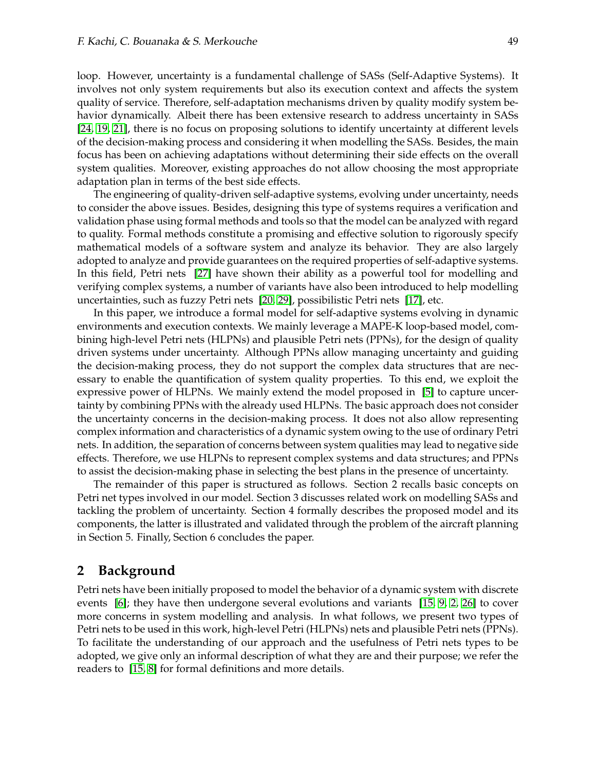loop. However, uncertainty is a fundamental challenge of SASs (Self-Adaptive Systems). It involves not only system requirements but also its execution context and affects the system quality of service. Therefore, self-adaptation mechanisms driven by quality modify system behavior dynamically. Albeit there has been extensive research to address uncertainty in SASs [\[24,](#page-16-3) [19,](#page-16-4) [21\]](#page-16-5), there is no focus on proposing solutions to identify uncertainty at different levels of the decision-making process and considering it when modelling the SASs. Besides, the main focus has been on achieving adaptations without determining their side effects on the overall system qualities. Moreover, existing approaches do not allow choosing the most appropriate adaptation plan in terms of the best side effects.

The engineering of quality-driven self-adaptive systems, evolving under uncertainty, needs to consider the above issues. Besides, designing this type of systems requires a verification and validation phase using formal methods and tools so that the model can be analyzed with regard to quality. Formal methods constitute a promising and effective solution to rigorously specify mathematical models of a software system and analyze its behavior. They are also largely adopted to analyze and provide guarantees on the required properties of self-adaptive systems. In this field, Petri nets [\[27\]](#page-16-6) have shown their ability as a powerful tool for modelling and verifying complex systems, a number of variants have also been introduced to help modelling uncertainties, such as fuzzy Petri nets [\[20,](#page-16-7) [29\]](#page-16-8), possibilistic Petri nets [\[17\]](#page-15-4), etc.

In this paper, we introduce a formal model for self-adaptive systems evolving in dynamic environments and execution contexts. We mainly leverage a MAPE-K loop-based model, combining high-level Petri nets (HLPNs) and plausible Petri nets (PPNs), for the design of quality driven systems under uncertainty. Although PPNs allow managing uncertainty and guiding the decision-making process, they do not support the complex data structures that are necessary to enable the quantification of system quality properties. To this end, we exploit the expressive power of HLPNs. We mainly extend the model proposed in [\[5\]](#page-15-5) to capture uncertainty by combining PPNs with the already used HLPNs. The basic approach does not consider the uncertainty concerns in the decision-making process. It does not also allow representing complex information and characteristics of a dynamic system owing to the use of ordinary Petri nets. In addition, the separation of concerns between system qualities may lead to negative side effects. Therefore, we use HLPNs to represent complex systems and data structures; and PPNs to assist the decision-making phase in selecting the best plans in the presence of uncertainty.

The remainder of this paper is structured as follows. Section 2 recalls basic concepts on Petri net types involved in our model. Section 3 discusses related work on modelling SASs and tackling the problem of uncertainty. Section 4 formally describes the proposed model and its components, the latter is illustrated and validated through the problem of the aircraft planning in Section 5. Finally, Section 6 concludes the paper.

## **2 Background**

Petri nets have been initially proposed to model the behavior of a dynamic system with discrete events [\[6\]](#page-15-6); they have then undergone several evolutions and variants [\[15,](#page-15-7) [9,](#page-15-8) [2,](#page-15-9) [26\]](#page-16-9) to cover more concerns in system modelling and analysis. In what follows, we present two types of Petri nets to be used in this work, high-level Petri (HLPNs) nets and plausible Petri nets (PPNs). To facilitate the understanding of our approach and the usefulness of Petri nets types to be adopted, we give only an informal description of what they are and their purpose; we refer the readers to [\[15,](#page-15-7) [8\]](#page-15-10) for formal definitions and more details.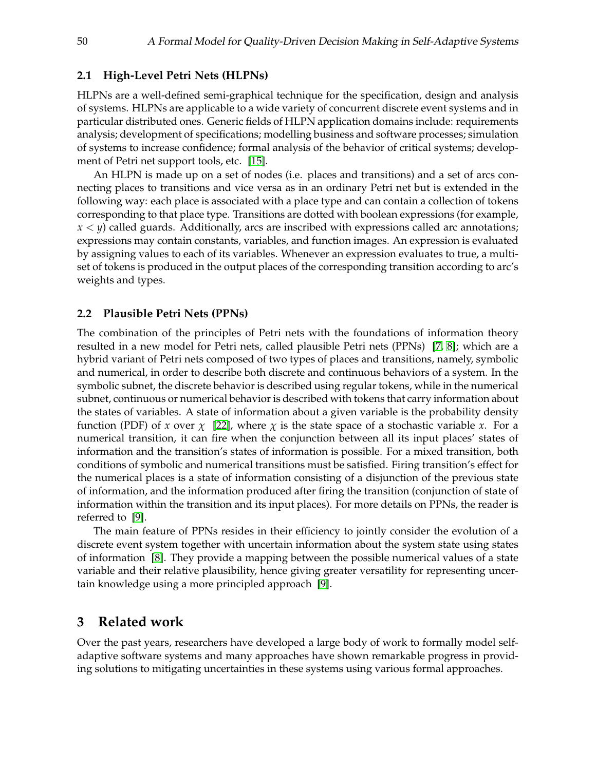#### **2.1 High-Level Petri Nets (HLPNs)**

HLPNs are a well-defined semi-graphical technique for the specification, design and analysis of systems. HLPNs are applicable to a wide variety of concurrent discrete event systems and in particular distributed ones. Generic fields of HLPN application domains include: requirements analysis; development of specifications; modelling business and software processes; simulation of systems to increase confidence; formal analysis of the behavior of critical systems; development of Petri net support tools, etc. [\[15\]](#page-15-7).

An HLPN is made up on a set of nodes (i.e. places and transitions) and a set of arcs connecting places to transitions and vice versa as in an ordinary Petri net but is extended in the following way: each place is associated with a place type and can contain a collection of tokens corresponding to that place type. Transitions are dotted with boolean expressions (for example,  $x < y$ ) called guards. Additionally, arcs are inscribed with expressions called arc annotations; expressions may contain constants, variables, and function images. An expression is evaluated by assigning values to each of its variables. Whenever an expression evaluates to true, a multiset of tokens is produced in the output places of the corresponding transition according to arc's weights and types.

#### **2.2 Plausible Petri Nets (PPNs)**

The combination of the principles of Petri nets with the foundations of information theory resulted in a new model for Petri nets, called plausible Petri nets (PPNs) [\[7,](#page-15-11) [8\]](#page-15-10); which are a hybrid variant of Petri nets composed of two types of places and transitions, namely, symbolic and numerical, in order to describe both discrete and continuous behaviors of a system. In the symbolic subnet, the discrete behavior is described using regular tokens, while in the numerical subnet, continuous or numerical behavior is described with tokens that carry information about the states of variables. A state of information about a given variable is the probability density function (PDF) of *x* over  $\chi$  [\[22\]](#page-16-10), where  $\chi$  is the state space of a stochastic variable *x*. For a numerical transition, it can fire when the conjunction between all its input places' states of information and the transition's states of information is possible. For a mixed transition, both conditions of symbolic and numerical transitions must be satisfied. Firing transition's effect for the numerical places is a state of information consisting of a disjunction of the previous state of information, and the information produced after firing the transition (conjunction of state of information within the transition and its input places). For more details on PPNs, the reader is referred to [\[9\]](#page-15-8).

The main feature of PPNs resides in their efficiency to jointly consider the evolution of a discrete event system together with uncertain information about the system state using states of information [\[8\]](#page-15-10). They provide a mapping between the possible numerical values of a state variable and their relative plausibility, hence giving greater versatility for representing uncertain knowledge using a more principled approach [\[9\]](#page-15-8).

## **3 Related work**

Over the past years, researchers have developed a large body of work to formally model selfadaptive software systems and many approaches have shown remarkable progress in providing solutions to mitigating uncertainties in these systems using various formal approaches.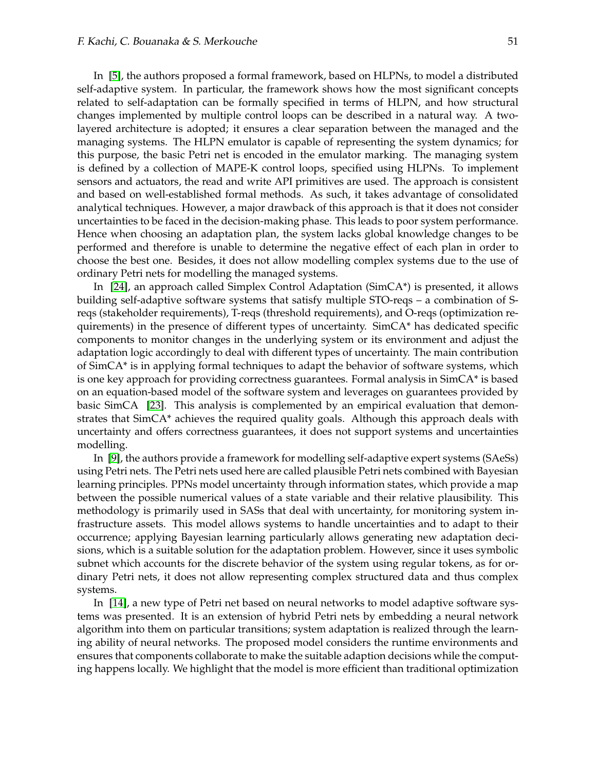In [\[5\]](#page-15-5), the authors proposed a formal framework, based on HLPNs, to model a distributed self-adaptive system. In particular, the framework shows how the most significant concepts related to self-adaptation can be formally specified in terms of HLPN, and how structural changes implemented by multiple control loops can be described in a natural way. A twolayered architecture is adopted; it ensures a clear separation between the managed and the managing systems. The HLPN emulator is capable of representing the system dynamics; for this purpose, the basic Petri net is encoded in the emulator marking. The managing system is defined by a collection of MAPE-K control loops, specified using HLPNs. To implement sensors and actuators, the read and write API primitives are used. The approach is consistent and based on well-established formal methods. As such, it takes advantage of consolidated analytical techniques. However, a major drawback of this approach is that it does not consider uncertainties to be faced in the decision-making phase. This leads to poor system performance. Hence when choosing an adaptation plan, the system lacks global knowledge changes to be performed and therefore is unable to determine the negative effect of each plan in order to choose the best one. Besides, it does not allow modelling complex systems due to the use of ordinary Petri nets for modelling the managed systems.

In [\[24\]](#page-16-3), an approach called Simplex Control Adaptation (SimCA\*) is presented, it allows building self-adaptive software systems that satisfy multiple STO-reqs – a combination of Sreqs (stakeholder requirements), T-reqs (threshold requirements), and O-reqs (optimization requirements) in the presence of different types of uncertainty. SimCA\* has dedicated specific components to monitor changes in the underlying system or its environment and adjust the adaptation logic accordingly to deal with different types of uncertainty. The main contribution of SimCA\* is in applying formal techniques to adapt the behavior of software systems, which is one key approach for providing correctness guarantees. Formal analysis in SimCA\* is based on an equation-based model of the software system and leverages on guarantees provided by basic SimCA [\[23\]](#page-16-11). This analysis is complemented by an empirical evaluation that demonstrates that SimCA\* achieves the required quality goals. Although this approach deals with uncertainty and offers correctness guarantees, it does not support systems and uncertainties modelling.

In [\[9\]](#page-15-8), the authors provide a framework for modelling self-adaptive expert systems (SAeSs) using Petri nets. The Petri nets used here are called plausible Petri nets combined with Bayesian learning principles. PPNs model uncertainty through information states, which provide a map between the possible numerical values of a state variable and their relative plausibility. This methodology is primarily used in SASs that deal with uncertainty, for monitoring system infrastructure assets. This model allows systems to handle uncertainties and to adapt to their occurrence; applying Bayesian learning particularly allows generating new adaptation decisions, which is a suitable solution for the adaptation problem. However, since it uses symbolic subnet which accounts for the discrete behavior of the system using regular tokens, as for ordinary Petri nets, it does not allow representing complex structured data and thus complex systems.

In [\[14\]](#page-15-12), a new type of Petri net based on neural networks to model adaptive software systems was presented. It is an extension of hybrid Petri nets by embedding a neural network algorithm into them on particular transitions; system adaptation is realized through the learning ability of neural networks. The proposed model considers the runtime environments and ensures that components collaborate to make the suitable adaption decisions while the computing happens locally. We highlight that the model is more efficient than traditional optimization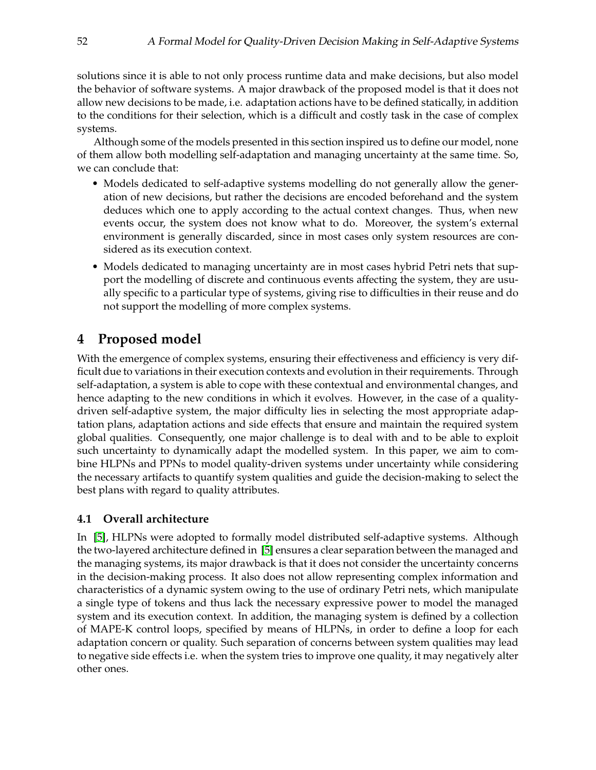solutions since it is able to not only process runtime data and make decisions, but also model the behavior of software systems. A major drawback of the proposed model is that it does not allow new decisions to be made, i.e. adaptation actions have to be defined statically, in addition to the conditions for their selection, which is a difficult and costly task in the case of complex systems.

Although some of the models presented in this section inspired us to define our model, none of them allow both modelling self-adaptation and managing uncertainty at the same time. So, we can conclude that:

- Models dedicated to self-adaptive systems modelling do not generally allow the generation of new decisions, but rather the decisions are encoded beforehand and the system deduces which one to apply according to the actual context changes. Thus, when new events occur, the system does not know what to do. Moreover, the system's external environment is generally discarded, since in most cases only system resources are considered as its execution context.
- Models dedicated to managing uncertainty are in most cases hybrid Petri nets that support the modelling of discrete and continuous events affecting the system, they are usually specific to a particular type of systems, giving rise to difficulties in their reuse and do not support the modelling of more complex systems.

## **4 Proposed model**

With the emergence of complex systems, ensuring their effectiveness and efficiency is very difficult due to variations in their execution contexts and evolution in their requirements. Through self-adaptation, a system is able to cope with these contextual and environmental changes, and hence adapting to the new conditions in which it evolves. However, in the case of a qualitydriven self-adaptive system, the major difficulty lies in selecting the most appropriate adaptation plans, adaptation actions and side effects that ensure and maintain the required system global qualities. Consequently, one major challenge is to deal with and to be able to exploit such uncertainty to dynamically adapt the modelled system. In this paper, we aim to combine HLPNs and PPNs to model quality-driven systems under uncertainty while considering the necessary artifacts to quantify system qualities and guide the decision-making to select the best plans with regard to quality attributes.

## **4.1 Overall architecture**

In [\[5\]](#page-15-5), HLPNs were adopted to formally model distributed self-adaptive systems. Although the two-layered architecture defined in [\[5\]](#page-15-5) ensures a clear separation between the managed and the managing systems, its major drawback is that it does not consider the uncertainty concerns in the decision-making process. It also does not allow representing complex information and characteristics of a dynamic system owing to the use of ordinary Petri nets, which manipulate a single type of tokens and thus lack the necessary expressive power to model the managed system and its execution context. In addition, the managing system is defined by a collection of MAPE-K control loops, specified by means of HLPNs, in order to define a loop for each adaptation concern or quality. Such separation of concerns between system qualities may lead to negative side effects i.e. when the system tries to improve one quality, it may negatively alter other ones.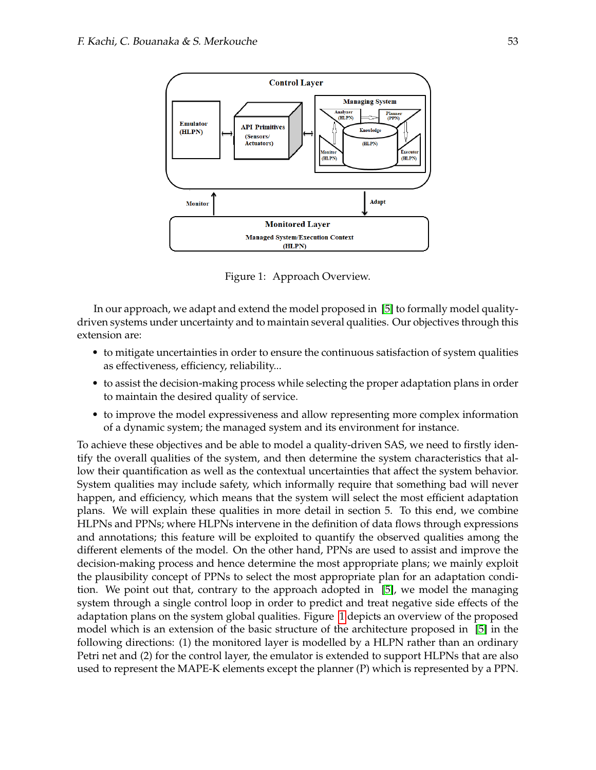

<span id="page-5-0"></span>Figure 1: Approach Overview.

In our approach, we adapt and extend the model proposed in [\[5\]](#page-15-5) to formally model qualitydriven systems under uncertainty and to maintain several qualities. Our objectives through this extension are:

- to mitigate uncertainties in order to ensure the continuous satisfaction of system qualities as effectiveness, efficiency, reliability...
- to assist the decision-making process while selecting the proper adaptation plans in order to maintain the desired quality of service.
- to improve the model expressiveness and allow representing more complex information of a dynamic system; the managed system and its environment for instance.

To achieve these objectives and be able to model a quality-driven SAS, we need to firstly identify the overall qualities of the system, and then determine the system characteristics that allow their quantification as well as the contextual uncertainties that affect the system behavior. System qualities may include safety, which informally require that something bad will never happen, and efficiency, which means that the system will select the most efficient adaptation plans. We will explain these qualities in more detail in section 5. To this end, we combine HLPNs and PPNs; where HLPNs intervene in the definition of data flows through expressions and annotations; this feature will be exploited to quantify the observed qualities among the different elements of the model. On the other hand, PPNs are used to assist and improve the decision-making process and hence determine the most appropriate plans; we mainly exploit the plausibility concept of PPNs to select the most appropriate plan for an adaptation condition. We point out that, contrary to the approach adopted in [\[5\]](#page-15-5), we model the managing system through a single control loop in order to predict and treat negative side effects of the adaptation plans on the system global qualities. Figure [1](#page-5-0) depicts an overview of the proposed model which is an extension of the basic structure of the architecture proposed in [\[5\]](#page-15-5) in the following directions: (1) the monitored layer is modelled by a HLPN rather than an ordinary Petri net and (2) for the control layer, the emulator is extended to support HLPNs that are also used to represent the MAPE-K elements except the planner (P) which is represented by a PPN.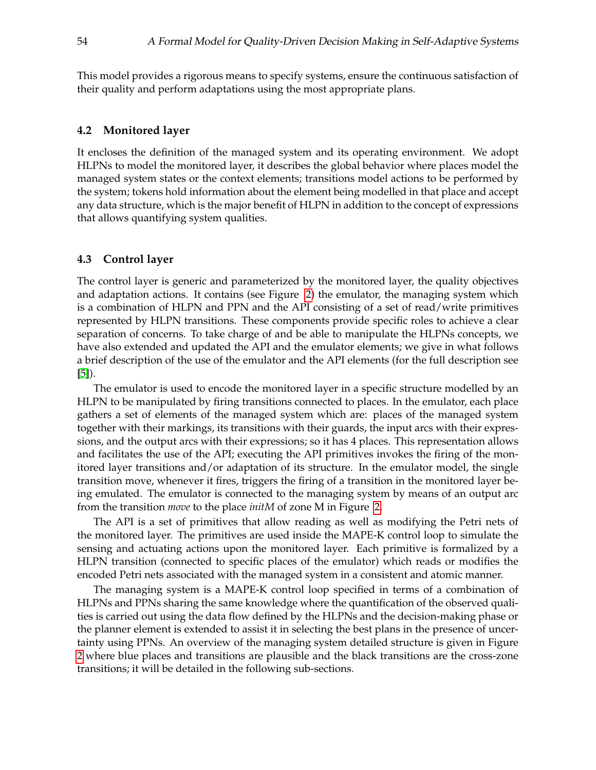This model provides a rigorous means to specify systems, ensure the continuous satisfaction of their quality and perform adaptations using the most appropriate plans.

#### **4.2 Monitored layer**

It encloses the definition of the managed system and its operating environment. We adopt HLPNs to model the monitored layer, it describes the global behavior where places model the managed system states or the context elements; transitions model actions to be performed by the system; tokens hold information about the element being modelled in that place and accept any data structure, which is the major benefit of HLPN in addition to the concept of expressions that allows quantifying system qualities.

#### **4.3 Control layer**

The control layer is generic and parameterized by the monitored layer, the quality objectives and adaptation actions. It contains (see Figure [2\)](#page-7-0) the emulator, the managing system which is a combination of HLPN and PPN and the API consisting of a set of read/write primitives represented by HLPN transitions. These components provide specific roles to achieve a clear separation of concerns. To take charge of and be able to manipulate the HLPNs concepts, we have also extended and updated the API and the emulator elements; we give in what follows a brief description of the use of the emulator and the API elements (for the full description see [\[5\]](#page-15-5)).

The emulator is used to encode the monitored layer in a specific structure modelled by an HLPN to be manipulated by firing transitions connected to places. In the emulator, each place gathers a set of elements of the managed system which are: places of the managed system together with their markings, its transitions with their guards, the input arcs with their expressions, and the output arcs with their expressions; so it has 4 places. This representation allows and facilitates the use of the API; executing the API primitives invokes the firing of the monitored layer transitions and/or adaptation of its structure. In the emulator model, the single transition move, whenever it fires, triggers the firing of a transition in the monitored layer being emulated. The emulator is connected to the managing system by means of an output arc from the transition *move* to the place *initM* of zone M in Figure [2.](#page-7-0)

The API is a set of primitives that allow reading as well as modifying the Petri nets of the monitored layer. The primitives are used inside the MAPE-K control loop to simulate the sensing and actuating actions upon the monitored layer. Each primitive is formalized by a HLPN transition (connected to specific places of the emulator) which reads or modifies the encoded Petri nets associated with the managed system in a consistent and atomic manner.

The managing system is a MAPE-K control loop specified in terms of a combination of HLPNs and PPNs sharing the same knowledge where the quantification of the observed qualities is carried out using the data flow defined by the HLPNs and the decision-making phase or the planner element is extended to assist it in selecting the best plans in the presence of uncertainty using PPNs. An overview of the managing system detailed structure is given in Figure [2](#page-7-0) where blue places and transitions are plausible and the black transitions are the cross-zone transitions; it will be detailed in the following sub-sections.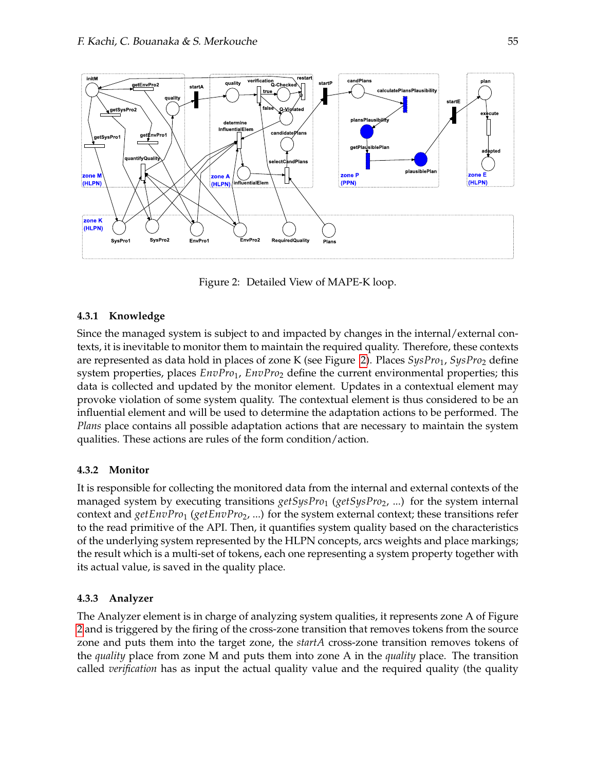

<span id="page-7-0"></span>Figure 2: Detailed View of MAPE-K loop.

#### **4.3.1 Knowledge**

Since the managed system is subject to and impacted by changes in the internal/external contexts, it is inevitable to monitor them to maintain the required quality. Therefore, these contexts are represented as data hold in places of zone K (see Figure [2\)](#page-7-0). Places *SysPro*<sub>1</sub>, *SysPro*<sub>2</sub> define system properties, places  $EnvPro_1$ ,  $EnvPro_2$  define the current environmental properties; this data is collected and updated by the monitor element. Updates in a contextual element may provoke violation of some system quality. The contextual element is thus considered to be an influential element and will be used to determine the adaptation actions to be performed. The *Plans* place contains all possible adaptation actions that are necessary to maintain the system qualities. These actions are rules of the form condition/action.

#### **4.3.2 Monitor**

It is responsible for collecting the monitored data from the internal and external contexts of the managed system by executing transitions *getSysPro*<sub>1</sub> (*getSysPro*<sub>2</sub>, ...) for the system internal context and *getEnvPro*<sup>1</sup> (*getEnvPro*2, ...) for the system external context; these transitions refer to the read primitive of the API. Then, it quantifies system quality based on the characteristics of the underlying system represented by the HLPN concepts, arcs weights and place markings; the result which is a multi-set of tokens, each one representing a system property together with its actual value, is saved in the quality place.

#### **4.3.3 Analyzer**

The Analyzer element is in charge of analyzing system qualities, it represents zone A of Figure [2](#page-7-0) and is triggered by the firing of the cross-zone transition that removes tokens from the source zone and puts them into the target zone, the *startA* cross-zone transition removes tokens of the *quality* place from zone M and puts them into zone A in the *quality* place. The transition called *verification* has as input the actual quality value and the required quality (the quality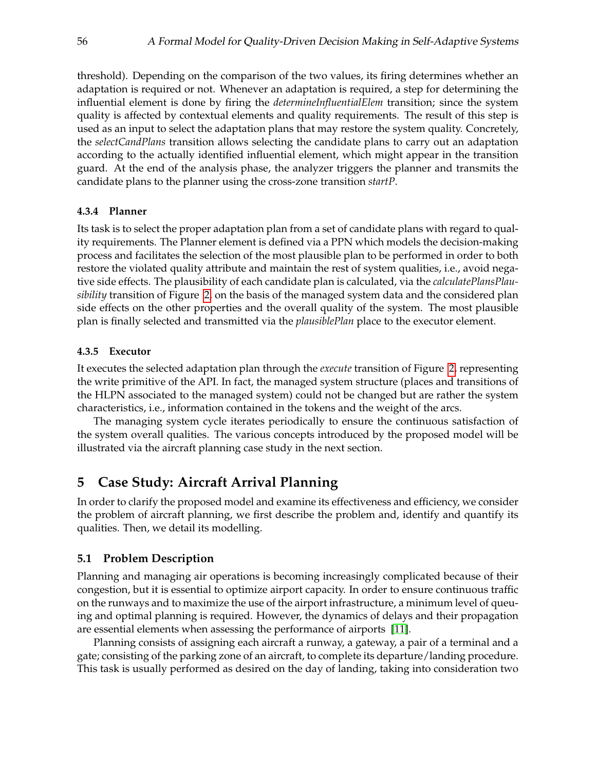threshold). Depending on the comparison of the two values, its firing determines whether an adaptation is required or not. Whenever an adaptation is required, a step for determining the influential element is done by firing the *determineInfluentialElem* transition; since the system quality is affected by contextual elements and quality requirements. The result of this step is used as an input to select the adaptation plans that may restore the system quality. Concretely, the *selectCandPlans* transition allows selecting the candidate plans to carry out an adaptation according to the actually identified influential element, which might appear in the transition guard. At the end of the analysis phase, the analyzer triggers the planner and transmits the candidate plans to the planner using the cross-zone transition *startP*.

#### **4.3.4 Planner**

Its task is to select the proper adaptation plan from a set of candidate plans with regard to quality requirements. The Planner element is defined via a PPN which models the decision-making process and facilitates the selection of the most plausible plan to be performed in order to both restore the violated quality attribute and maintain the rest of system qualities, i.e., avoid negative side effects. The plausibility of each candidate plan is calculated, via the *calculatePlansPlausibility* transition of Figure [2,](#page-7-0) on the basis of the managed system data and the considered plan side effects on the other properties and the overall quality of the system. The most plausible plan is finally selected and transmitted via the *plausiblePlan* place to the executor element.

#### **4.3.5 Executor**

It executes the selected adaptation plan through the *execute* transition of Figure [2,](#page-7-0) representing the write primitive of the API. In fact, the managed system structure (places and transitions of the HLPN associated to the managed system) could not be changed but are rather the system characteristics, i.e., information contained in the tokens and the weight of the arcs.

The managing system cycle iterates periodically to ensure the continuous satisfaction of the system overall qualities. The various concepts introduced by the proposed model will be illustrated via the aircraft planning case study in the next section.

## **5 Case Study: Aircraft Arrival Planning**

In order to clarify the proposed model and examine its effectiveness and efficiency, we consider the problem of aircraft planning, we first describe the problem and, identify and quantify its qualities. Then, we detail its modelling.

#### **5.1 Problem Description**

Planning and managing air operations is becoming increasingly complicated because of their congestion, but it is essential to optimize airport capacity. In order to ensure continuous traffic on the runways and to maximize the use of the airport infrastructure, a minimum level of queuing and optimal planning is required. However, the dynamics of delays and their propagation are essential elements when assessing the performance of airports [\[11\]](#page-15-13).

Planning consists of assigning each aircraft a runway, a gateway, a pair of a terminal and a gate; consisting of the parking zone of an aircraft, to complete its departure/landing procedure. This task is usually performed as desired on the day of landing, taking into consideration two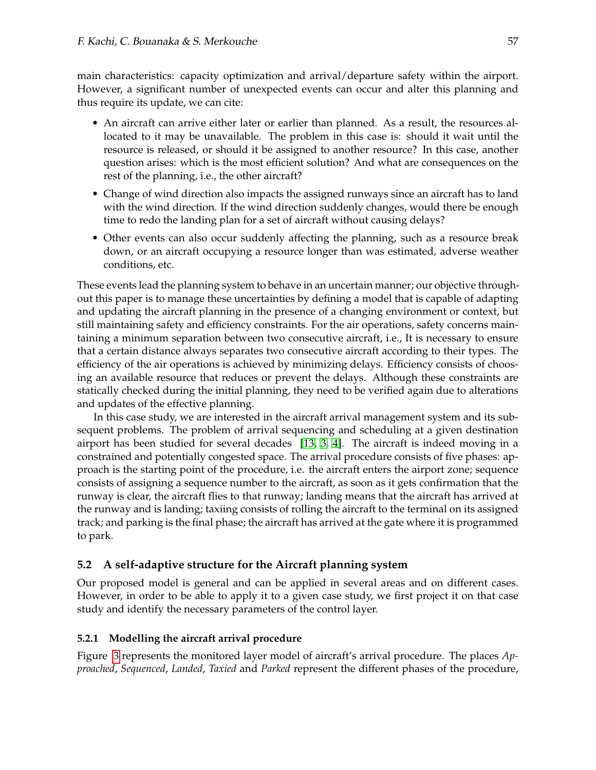main characteristics: capacity optimization and arrival/departure safety within the airport. However, a significant number of unexpected events can occur and alter this planning and thus require its update, we can cite:

- An aircraft can arrive either later or earlier than planned. As a result, the resources allocated to it may be unavailable. The problem in this case is: should it wait until the resource is released, or should it be assigned to another resource? In this case, another question arises: which is the most efficient solution? And what are consequences on the rest of the planning, i.e., the other aircraft?
- Change of wind direction also impacts the assigned runways since an aircraft has to land with the wind direction. If the wind direction suddenly changes, would there be enough time to redo the landing plan for a set of aircraft without causing delays?
- Other events can also occur suddenly affecting the planning, such as a resource break down, or an aircraft occupying a resource longer than was estimated, adverse weather conditions, etc.

These events lead the planning system to behave in an uncertain manner; our objective throughout this paper is to manage these uncertainties by defining a model that is capable of adapting and updating the aircraft planning in the presence of a changing environment or context, but still maintaining safety and efficiency constraints. For the air operations, safety concerns maintaining a minimum separation between two consecutive aircraft, i.e., It is necessary to ensure that a certain distance always separates two consecutive aircraft according to their types. The efficiency of the air operations is achieved by minimizing delays. Efficiency consists of choosing an available resource that reduces or prevent the delays. Although these constraints are statically checked during the initial planning, they need to be verified again due to alterations and updates of the effective planning.

In this case study, we are interested in the aircraft arrival management system and its subsequent problems. The problem of arrival sequencing and scheduling at a given destination airport has been studied for several decades [\[13,](#page-15-14) [3,](#page-15-15) [4\]](#page-15-16). The aircraft is indeed moving in a constrained and potentially congested space. The arrival procedure consists of five phases: approach is the starting point of the procedure, i.e. the aircraft enters the airport zone; sequence consists of assigning a sequence number to the aircraft, as soon as it gets confirmation that the runway is clear, the aircraft flies to that runway; landing means that the aircraft has arrived at the runway and is landing; taxiing consists of rolling the aircraft to the terminal on its assigned track; and parking is the final phase; the aircraft has arrived at the gate where it is programmed to park.

## **5.2 A self-adaptive structure for the Aircraft planning system**

Our proposed model is general and can be applied in several areas and on different cases. However, in order to be able to apply it to a given case study, we first project it on that case study and identify the necessary parameters of the control layer.

#### **5.2.1 Modelling the aircraft arrival procedure**

Figure [3](#page-10-0) represents the monitored layer model of aircraft's arrival procedure. The places *Approached*, *Sequenced*, *Landed*, *Taxied* and *Parked* represent the different phases of the procedure,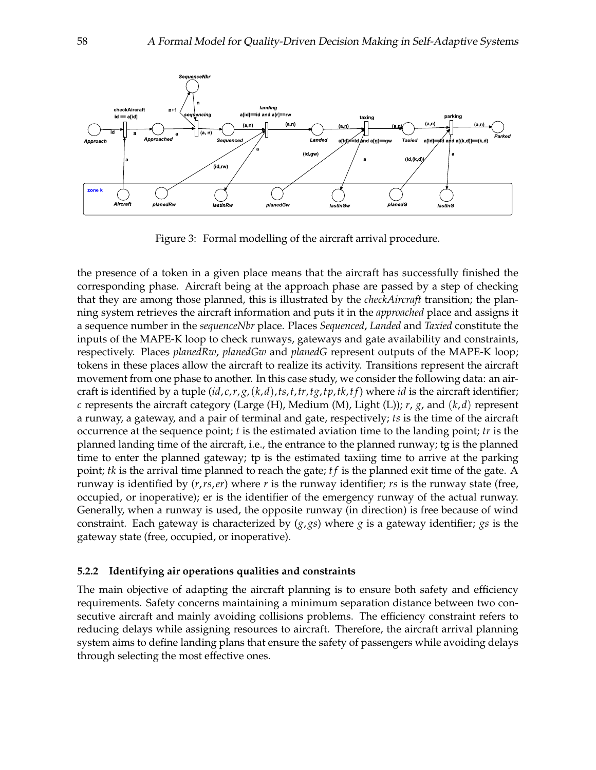

<span id="page-10-0"></span>Figure 3: Formal modelling of the aircraft arrival procedure.

the presence of a token in a given place means that the aircraft has successfully finished the corresponding phase. Aircraft being at the approach phase are passed by a step of checking that they are among those planned, this is illustrated by the *checkAircraft* transition; the planning system retrieves the aircraft information and puts it in the *approached* place and assigns it a sequence number in the *sequenceNbr* place. Places *Sequenced*, *Landed* and *Taxied* constitute the inputs of the MAPE-K loop to check runways, gateways and gate availability and constraints, respectively. Places *planedRw*, *planedGw* and *planedG* represent outputs of the MAPE-K loop; tokens in these places allow the aircraft to realize its activity. Transitions represent the aircraft movement from one phase to another. In this case study, we consider the following data: an aircraft is identified by a tuple  $(id, c, r, g, (k, d), ts, t, tr, tg, tp, tk, tf)$  where *id* is the aircraft identifier; *c* represents the aircraft category (Large (H), Medium (M), Light (L)); *r*, *g*, and (*k*,*d*) represent a runway, a gateway, and a pair of terminal and gate, respectively; *ts* is the time of the aircraft occurrence at the sequence point; *t* is the estimated aviation time to the landing point; *tr* is the planned landing time of the aircraft, i.e., the entrance to the planned runway; tg is the planned time to enter the planned gateway; tp is the estimated taxiing time to arrive at the parking point; *tk* is the arrival time planned to reach the gate; *t f* is the planned exit time of the gate. A runway is identified by (*r*,*rs*,*er*) where *r* is the runway identifier; *rs* is the runway state (free, occupied, or inoperative); er is the identifier of the emergency runway of the actual runway. Generally, when a runway is used, the opposite runway (in direction) is free because of wind constraint. Each gateway is characterized by (*g*, *gs*) where *g* is a gateway identifier; *gs* is the gateway state (free, occupied, or inoperative).

#### **5.2.2 Identifying air operations qualities and constraints**

The main objective of adapting the aircraft planning is to ensure both safety and efficiency requirements. Safety concerns maintaining a minimum separation distance between two consecutive aircraft and mainly avoiding collisions problems. The efficiency constraint refers to reducing delays while assigning resources to aircraft. Therefore, the aircraft arrival planning system aims to define landing plans that ensure the safety of passengers while avoiding delays through selecting the most effective ones.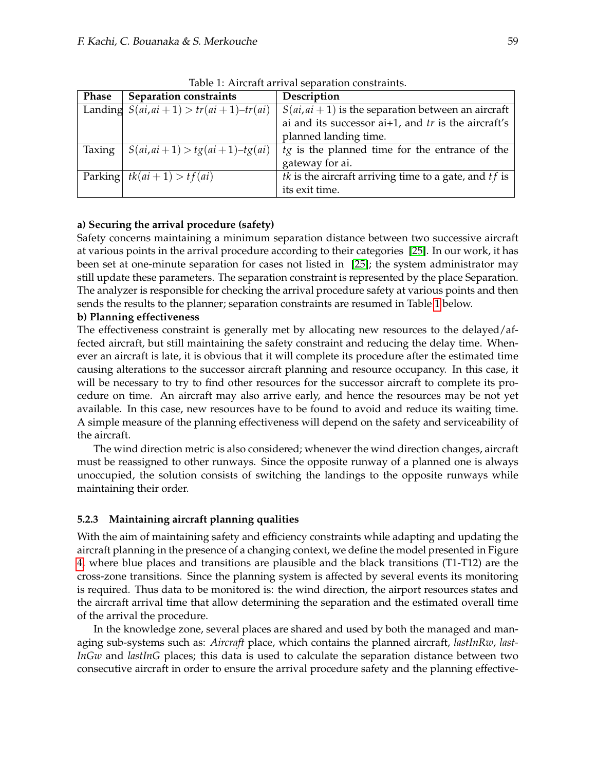| <b>Phase</b> | <b>Separation constraints</b>                 | Description                                                    |
|--------------|-----------------------------------------------|----------------------------------------------------------------|
|              | Landing $S(ai, ai + 1) > tr(ai + 1) - tr(ai)$ | $S(ai, ai + 1)$ is the separation between an aircraft          |
|              |                                               | ai and its successor $ai+1$ , and $tr$ is the aircraft's       |
|              |                                               | planned landing time.                                          |
| Taxing       | $S(ai, ai+1) > tg(ai+1)-tg(ai)$               | $tg$ is the planned time for the entrance of the               |
|              |                                               | gateway for ai.                                                |
|              | Parking $tk(ai + 1) > tf(ai)$                 | <i>tk</i> is the aircraft arriving time to a gate, and $tf$ is |
|              |                                               | its exit time.                                                 |

<span id="page-11-0"></span>Table 1: Aircraft arrival separation constraints.

## **a) Securing the arrival procedure (safety)**

Safety concerns maintaining a minimum separation distance between two successive aircraft at various points in the arrival procedure according to their categories [\[25\]](#page-16-12). In our work, it has been set at one-minute separation for cases not listed in [\[25\]](#page-16-12); the system administrator may still update these parameters. The separation constraint is represented by the place Separation. The analyzer is responsible for checking the arrival procedure safety at various points and then sends the results to the planner; separation constraints are resumed in Table [1](#page-11-0) below.

## **b) Planning effectiveness**

The effectiveness constraint is generally met by allocating new resources to the delayed/affected aircraft, but still maintaining the safety constraint and reducing the delay time. Whenever an aircraft is late, it is obvious that it will complete its procedure after the estimated time causing alterations to the successor aircraft planning and resource occupancy. In this case, it will be necessary to try to find other resources for the successor aircraft to complete its procedure on time. An aircraft may also arrive early, and hence the resources may be not yet available. In this case, new resources have to be found to avoid and reduce its waiting time. A simple measure of the planning effectiveness will depend on the safety and serviceability of the aircraft.

The wind direction metric is also considered; whenever the wind direction changes, aircraft must be reassigned to other runways. Since the opposite runway of a planned one is always unoccupied, the solution consists of switching the landings to the opposite runways while maintaining their order.

## **5.2.3 Maintaining aircraft planning qualities**

With the aim of maintaining safety and efficiency constraints while adapting and updating the aircraft planning in the presence of a changing context, we define the model presented in Figure [4,](#page-12-0) where blue places and transitions are plausible and the black transitions (T1-T12) are the cross-zone transitions. Since the planning system is affected by several events its monitoring is required. Thus data to be monitored is: the wind direction, the airport resources states and the aircraft arrival time that allow determining the separation and the estimated overall time of the arrival the procedure.

In the knowledge zone, several places are shared and used by both the managed and managing sub-systems such as: *Aircraft* place, which contains the planned aircraft, *lastInRw*, *last-InGw* and *lastInG* places; this data is used to calculate the separation distance between two consecutive aircraft in order to ensure the arrival procedure safety and the planning effective-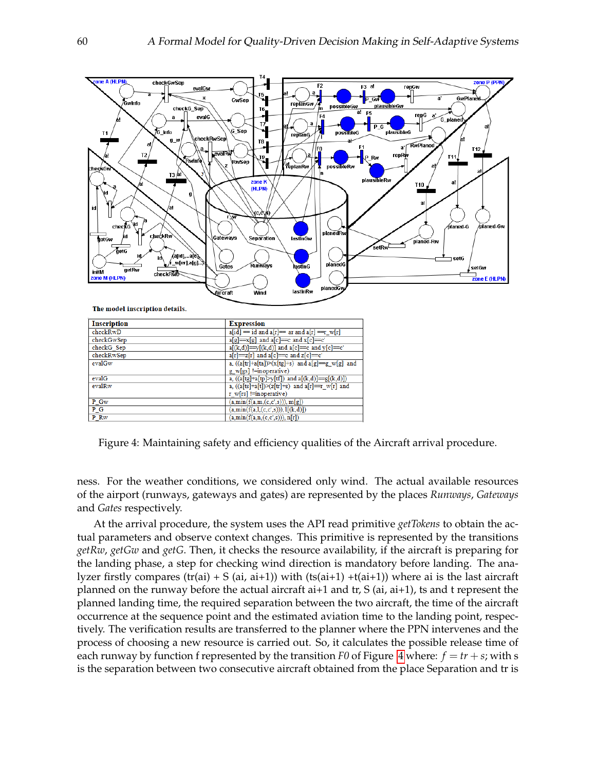

| <b>Inscription</b> | <b>Expression</b>                                    |  |  |  |  |
|--------------------|------------------------------------------------------|--|--|--|--|
| checkRwD           | $a[id] = id$ and $a[r] = ar$ and $a[r] = r$ w[r]     |  |  |  |  |
| checkGwSep         | $a[g]=x[g]$ and $a[c]=c$ and $x[c]=c'$               |  |  |  |  |
| checkG Sep         | $a[(k,d)] = y[(k,d)]$ and $a[c] = c$ and $y[c] = c'$ |  |  |  |  |
| checkRwSep         | $a[r]=z[r]$ and $a[c]=c$ and $z[c]=c'$               |  |  |  |  |
| evalGw             | a, $((a[tr]+a[ta])>(x[tg]+s)$ and $a[g]=g[w[g]$ and  |  |  |  |  |
|                    | g w[gs] !=inoperative)                               |  |  |  |  |
| evalG              | a, $((a[tg]+a[tp]>y[tf])$ and $a[(k,d)]=g[(k,d)])$   |  |  |  |  |
| evalRw             | a, $((a[ts]+a[t])>(z[tr]+s)$ and $a[r]=r_w[r]$ and   |  |  |  |  |
|                    | $r$ w[rs] != inoperative)                            |  |  |  |  |
| $P_Gw$             | (a, min(f(a,m,(c,c',s))), m[g])                      |  |  |  |  |
| $P_G$              | (a, min(f(a,1,(c,c',s))), 1[(k,d)])                  |  |  |  |  |
| P Rw               | (a, min(f(a, n, (c, c', s))), n[r])                  |  |  |  |  |
|                    |                                                      |  |  |  |  |

<span id="page-12-0"></span>Figure 4: Maintaining safety and efficiency qualities of the Aircraft arrival procedure.

ness. For the weather conditions, we considered only wind. The actual available resources of the airport (runways, gateways and gates) are represented by the places *Runways*, *Gateways* and *Gates* respectively.

At the arrival procedure, the system uses the API read primitive *getTokens* to obtain the actual parameters and observe context changes. This primitive is represented by the transitions *getRw*, *getGw* and *getG*. Then, it checks the resource availability, if the aircraft is preparing for the landing phase, a step for checking wind direction is mandatory before landing. The analyzer firstly compares (tr(ai) + S (ai, ai+1)) with (ts(ai+1) +t(ai+1)) where ai is the last aircraft planned on the runway before the actual aircraft ai+1 and  $tr$ ,  $S$  (ai, ai+1), is and t represent the planned landing time, the required separation between the two aircraft, the time of the aircraft occurrence at the sequence point and the estimated aviation time to the landing point, respectively. The verification results are transferred to the planner where the PPN intervenes and the process of choosing a new resource is carried out. So, it calculates the possible release time of each runway by function f represented by the transition *F0* of Figure [4](#page-12-0) where:  $f = tr + s$ ; with s is the separation between two consecutive aircraft obtained from the place Separation and tr is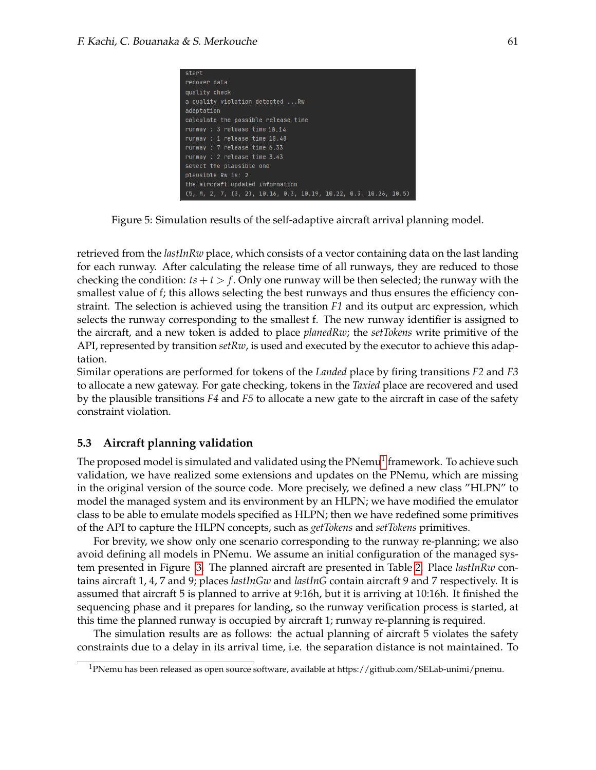| start                                                              |  |  |  |  |  |  |  |  |  |
|--------------------------------------------------------------------|--|--|--|--|--|--|--|--|--|
| recover data                                                       |  |  |  |  |  |  |  |  |  |
| quality check                                                      |  |  |  |  |  |  |  |  |  |
| a quality violation detected Rw                                    |  |  |  |  |  |  |  |  |  |
| adaptation                                                         |  |  |  |  |  |  |  |  |  |
| calculate the possible release time                                |  |  |  |  |  |  |  |  |  |
| runway : 3 release time 10.14                                      |  |  |  |  |  |  |  |  |  |
| runway : 1 release time 10.48                                      |  |  |  |  |  |  |  |  |  |
| runway : 7 release time 6.33                                       |  |  |  |  |  |  |  |  |  |
| runway : 2 release time 3.43                                       |  |  |  |  |  |  |  |  |  |
| select the plausible one                                           |  |  |  |  |  |  |  |  |  |
| plausible Rw is: 2                                                 |  |  |  |  |  |  |  |  |  |
| the aircraft updated information                                   |  |  |  |  |  |  |  |  |  |
| $(5, M, 2, 7, (3, 2), 10.16, 0.3, 10.19, 10.22, 0.3, 10.26, 10.5)$ |  |  |  |  |  |  |  |  |  |

<span id="page-13-0"></span>Figure 5: Simulation results of the self-adaptive aircraft arrival planning model.

retrieved from the *lastInRw* place, which consists of a vector containing data on the last landing for each runway. After calculating the release time of all runways, they are reduced to those checking the condition:  $ts + t > f$ . Only one runway will be then selected; the runway with the smallest value of f; this allows selecting the best runways and thus ensures the efficiency constraint. The selection is achieved using the transition *F1* and its output arc expression, which selects the runway corresponding to the smallest f. The new runway identifier is assigned to the aircraft, and a new token is added to place *planedRw*; the *setTokens* write primitive of the API, represented by transition *setRw*, is used and executed by the executor to achieve this adaptation.

Similar operations are performed for tokens of the *Landed* place by firing transitions *F2* and *F3* to allocate a new gateway. For gate checking, tokens in the *Taxied* place are recovered and used by the plausible transitions *F4* and *F5* to allocate a new gate to the aircraft in case of the safety constraint violation.

#### **5.3 Aircraft planning validation**

The proposed model is simulated and validated using the  $\mathrm{P Nemu^1}$  $\mathrm{P Nemu^1}$  $\mathrm{P Nemu^1}$  framework. To achieve such validation, we have realized some extensions and updates on the PNemu, which are missing in the original version of the source code. More precisely, we defined a new class "HLPN" to model the managed system and its environment by an HLPN; we have modified the emulator class to be able to emulate models specified as HLPN; then we have redefined some primitives of the API to capture the HLPN concepts, such as *getTokens* and *setTokens* primitives.

For brevity, we show only one scenario corresponding to the runway re-planning; we also avoid defining all models in PNemu. We assume an initial configuration of the managed system presented in Figure [3.](#page-10-0) The planned aircraft are presented in Table [2.](#page-14-0) Place *lastInRw* contains aircraft 1, 4, 7 and 9; places *lastInGw* and *lastInG* contain aircraft 9 and 7 respectively. It is assumed that aircraft 5 is planned to arrive at 9:16h, but it is arriving at 10:16h. It finished the sequencing phase and it prepares for landing, so the runway verification process is started, at this time the planned runway is occupied by aircraft 1; runway re-planning is required.

The simulation results are as follows: the actual planning of aircraft 5 violates the safety constraints due to a delay in its arrival time, i.e. the separation distance is not maintained. To

<sup>1</sup>PNemu has been released as open source software, available at https://github.com/SELab-unimi/pnemu.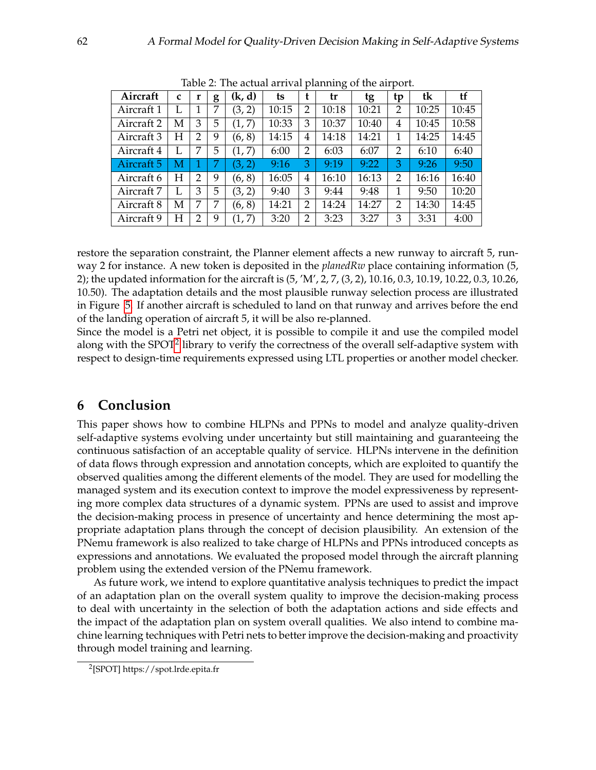| have the accumuminum phanding of the amport. |             |                |   |        |       |                |       |       |    |       |       |
|----------------------------------------------|-------------|----------------|---|--------|-------|----------------|-------|-------|----|-------|-------|
| Aircraft                                     | $\mathbf c$ | r              | g | (k, d) | ts    |                | tr    | tg    | tp | tk    | tf    |
| Aircraft 1                                   |             |                | 7 | (3, 2) | 10:15 | $\overline{2}$ | 10:18 | 10:21 | 2  | 10:25 | 10:45 |
| Aircraft 2                                   | М           | 3              | 5 | (1, 7) | 10:33 | 3              | 10:37 | 10:40 | 4  | 10:45 | 10:58 |
| Aircraft 3                                   | Н           | $\overline{2}$ | 9 | (6, 8) | 14:15 | 4              | 14:18 | 14:21 | 1  | 14:25 | 14:45 |
| Aircraft 4                                   |             | 7              | 5 | (1, 7) | 6:00  | 2              | 6:03  | 6:07  | 2  | 6:10  | 6:40  |
| Aircraft 5                                   | M           |                |   | (3, 2) | 9:16  | З              | 9:19  | 9:22  | 3  | 9:26  | 9:50  |
| Aircraft 6                                   | H           | $\overline{2}$ | 9 | (6, 8) | 16:05 | 4              | 16:10 | 16:13 | 2  | 16:16 | 16:40 |
| Aircraft 7                                   |             | 3              | 5 | (3, 2) | 9:40  | 3              | 9:44  | 9:48  | 1  | 9:50  | 10:20 |
| Aircraft 8                                   | M           | 7              | 7 | (6, 8) | 14:21 | $\overline{2}$ | 14:24 | 14:27 | 2  | 14:30 | 14:45 |
| Aircraft 9                                   | Н           | $\overline{2}$ | 9 | (1, 7) | 3:20  | 2              | 3:23  | 3:27  | 3  | 3:31  | 4:00  |

<span id="page-14-0"></span>Table 2: The actual arrival planning of the airport.

restore the separation constraint, the Planner element affects a new runway to aircraft 5, runway 2 for instance. A new token is deposited in the *planedRw* place containing information (5, 2); the updated information for the aircraft is (5, 'M', 2, 7, (3, 2), 10.16, 0.3, 10.19, 10.22, 0.3, 10.26, 10.50). The adaptation details and the most plausible runway selection process are illustrated in Figure [5.](#page-13-0) If another aircraft is scheduled to land on that runway and arrives before the end of the landing operation of aircraft 5, it will be also re-planned.

Since the model is a Petri net object, it is possible to compile it and use the compiled model along with the SPOT $^2$  $^2$  library to verify the correctness of the overall self-adaptive system with respect to design-time requirements expressed using LTL properties or another model checker.

## **6 Conclusion**

This paper shows how to combine HLPNs and PPNs to model and analyze quality-driven self-adaptive systems evolving under uncertainty but still maintaining and guaranteeing the continuous satisfaction of an acceptable quality of service. HLPNs intervene in the definition of data flows through expression and annotation concepts, which are exploited to quantify the observed qualities among the different elements of the model. They are used for modelling the managed system and its execution context to improve the model expressiveness by representing more complex data structures of a dynamic system. PPNs are used to assist and improve the decision-making process in presence of uncertainty and hence determining the most appropriate adaptation plans through the concept of decision plausibility. An extension of the PNemu framework is also realized to take charge of HLPNs and PPNs introduced concepts as expressions and annotations. We evaluated the proposed model through the aircraft planning problem using the extended version of the PNemu framework.

As future work, we intend to explore quantitative analysis techniques to predict the impact of an adaptation plan on the overall system quality to improve the decision-making process to deal with uncertainty in the selection of both the adaptation actions and side effects and the impact of the adaptation plan on system overall qualities. We also intend to combine machine learning techniques with Petri nets to better improve the decision-making and proactivity through model training and learning.

<sup>2</sup> [SPOT] https://spot.lrde.epita.fr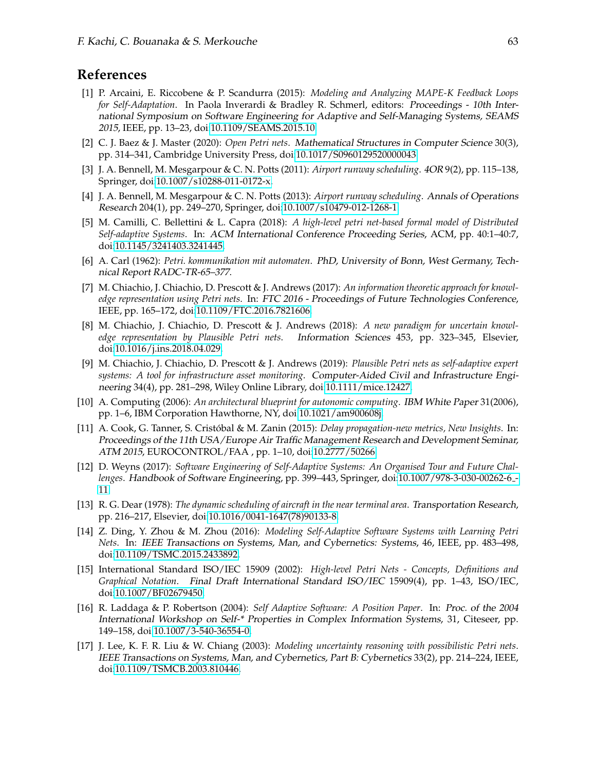## **References**

- <span id="page-15-3"></span>[1] P. Arcaini, E. Riccobene & P. Scandurra (2015): *Modeling and Analyzing MAPE-K Feedback Loops for Self-Adaptation*. In Paola Inverardi & Bradley R. Schmerl, editors: Proceedings - 10th International Symposium on Software Engineering for Adaptive and Self-Managing Systems, SEAMS 2015, IEEE, pp. 13–23, doi[:10.1109/SEAMS.2015.10.](http://dx.doi.org/10.1109/SEAMS.2015.10)
- <span id="page-15-9"></span>[2] C. J. Baez & J. Master (2020): *Open Petri nets*. Mathematical Structures in Computer Science 30(3), pp. 314–341, Cambridge University Press, doi[:10.1017/S0960129520000043.](http://dx.doi.org/10.1017/S0960129520000043)
- <span id="page-15-15"></span>[3] J. A. Bennell, M. Mesgarpour & C. N. Potts (2011): *Airport runway scheduling*. 4OR 9(2), pp. 115–138, Springer, doi[:10.1007/s10288-011-0172-x.](http://dx.doi.org/10.1007/s10288-011-0172-x)
- <span id="page-15-16"></span>[4] J. A. Bennell, M. Mesgarpour & C. N. Potts (2013): *Airport runway scheduling*. Annals of Operations Research 204(1), pp. 249–270, Springer, doi[:10.1007/s10479-012-1268-1.](http://dx.doi.org/10.1007/s10479-012-1268-1)
- <span id="page-15-5"></span>[5] M. Camilli, C. Bellettini & L. Capra (2018): *A high-level petri net-based formal model of Distributed Self-adaptive Systems*. In: ACM International Conference Proceeding Series, ACM, pp. 40:1–40:7, doi[:10.1145/3241403.3241445.](http://dx.doi.org/10.1145/3241403.3241445)
- <span id="page-15-6"></span>[6] A. Carl (1962): *Petri. kommunikation mit automaten*. PhD, University of Bonn, West Germany, Technical Report RADC-TR-65–377.
- <span id="page-15-11"></span>[7] M. Chiachio, J. Chiachio, D. Prescott & J. Andrews (2017): *An information theoretic approach for knowledge representation using Petri nets*. In: FTC 2016 - Proceedings of Future Technologies Conference, IEEE, pp. 165–172, doi[:10.1109/FTC.2016.7821606.](http://dx.doi.org/10.1109/FTC.2016.7821606)
- <span id="page-15-10"></span>[8] M. Chiachio, J. Chiachio, D. Prescott & J. Andrews (2018): *A new paradigm for uncertain knowledge representation by Plausible Petri nets*. Information Sciences 453, pp. 323–345, Elsevier, doi[:10.1016/j.ins.2018.04.029.](http://dx.doi.org/10.1016/j.ins.2018.04.029)
- <span id="page-15-8"></span>[9] M. Chiachio, J. Chiachio, D. Prescott & J. Andrews (2019): *Plausible Petri nets as self-adaptive expert systems: A tool for infrastructure asset monitoring*. Computer-Aided Civil and Infrastructure Engineering 34(4), pp. 281–298, Wiley Online Library, doi[:10.1111/mice.12427.](http://dx.doi.org/10.1111/mice.12427)
- <span id="page-15-2"></span>[10] A. Computing (2006): *An architectural blueprint for autonomic computing*. IBM White Paper 31(2006), pp. 1–6, IBM Corporation Hawthorne, NY, doi[:10.1021/am900608j.](http://dx.doi.org/10.1021/am900608j)
- <span id="page-15-13"></span>[11] A. Cook, G. Tanner, S. Cristobal & M. Zanin (2015): ´ *Delay propagation-new metrics, New Insights*. In: Proceedings of the 11th USA/Europe Air Traffic Management Research and Development Seminar, ATM 2015, EUROCONTROL/FAA , pp. 1–10, doi[:10.2777/50266.](http://dx.doi.org/10.2777/50266)
- <span id="page-15-0"></span>[12] D. Weyns (2017): *Software Engineering of Self-Adaptive Systems: An Organised Tour and Future Challenges*. Handbook of Software Engineering, pp. 399–443, Springer, doi[:10.1007/978-3-030-00262-6](http://dx.doi.org/10.1007/978-3-030-00262-6_11) - [11.](http://dx.doi.org/10.1007/978-3-030-00262-6_11)
- <span id="page-15-14"></span>[13] R. G. Dear (1978): *The dynamic scheduling of aircraft in the near terminal area*. Transportation Research, pp. 216–217, Elsevier, doi[:10.1016/0041-1647\(78\)90133-8.](http://dx.doi.org/10.1016/0041-1647(78)90133-8)
- <span id="page-15-12"></span>[14] Z. Ding, Y. Zhou & M. Zhou (2016): *Modeling Self-Adaptive Software Systems with Learning Petri Nets*. In: IEEE Transactions on Systems, Man, and Cybernetics: Systems, 46, IEEE, pp. 483–498, doi[:10.1109/TSMC.2015.2433892.](http://dx.doi.org/10.1109/TSMC.2015.2433892)
- <span id="page-15-7"></span>[15] International Standard ISO/IEC 15909 (2002): *High-level Petri Nets - Concepts, Definitions and Graphical Notation*. Final Draft International Standard ISO/IEC 15909(4), pp. 1–43, ISO/IEC, doi[:10.1007/BF02679450.](http://dx.doi.org/10.1007/BF02679450)
- <span id="page-15-1"></span>[16] R. Laddaga & P. Robertson (2004): *Self Adaptive Software: A Position Paper*. In: Proc. of the 2004 International Workshop on Self-\* Properties in Complex Information Systems, 31, Citeseer, pp. 149–158, doi[:10.1007/3-540-36554-0.](http://dx.doi.org/10.1007/3-540-36554-0)
- <span id="page-15-4"></span>[17] J. Lee, K. F. R. Liu & W. Chiang (2003): *Modeling uncertainty reasoning with possibilistic Petri nets*. IEEE Transactions on Systems, Man, and Cybernetics, Part B: Cybernetics 33(2), pp. 214–224, IEEE, doi[:10.1109/TSMCB.2003.810446.](http://dx.doi.org/10.1109/TSMCB.2003.810446)